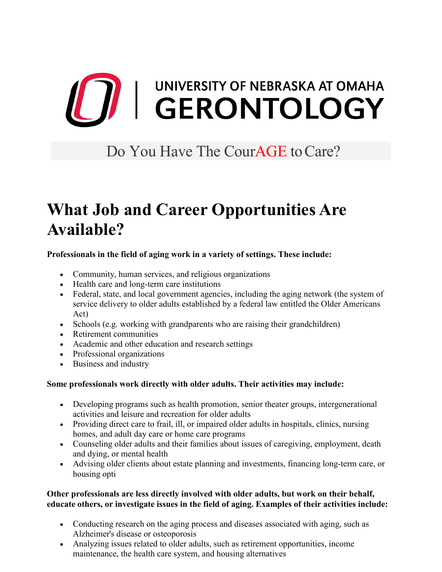# **THE SERONTOLOGY**

### Do You Have The CourAGE to Care?

## **What Job and Career Opportunities Are Available?**

#### **Professionals in the field of aging work in a variety of settings. These include:**

- Community, human services, and religious organizations
- Health care and long-term care institutions
- Federal, state, and local government agencies, including the aging network (the system of service delivery to older adults established by a federal law entitled the Older Americans Act)
- Schools (e.g. working with grandparents who are raising their grandchildren)
- Retirement communities
- Academic and other education and research settings
- Professional organizations
- Business and industry

#### **Some professionals work directly with older adults. Their activities may include:**

- Developing programs such as health promotion, senior theater groups, intergenerational activities and leisure and recreation for older adults
- Providing direct care to frail, ill, or impaired older adults in hospitals, clinics, nursing homes, and adult day care or home care programs
- Counseling older adults and their families about issues of caregiving, employment, death and dying, or mental health
- Advising older clients about estate planning and investments, financing long-term care, or housing opti

#### **Other professionals are less directly involved with older adults, but work on their behalf, educate others, or investigate issues in the field of aging. Examples of their activities include:**

- Conducting research on the aging process and diseases associated with aging, such as Alzheimer's disease or osteoporosis
- Analyzing issues related to older adults, such as retirement opportunities, income maintenance, the health care system, and housing alternatives